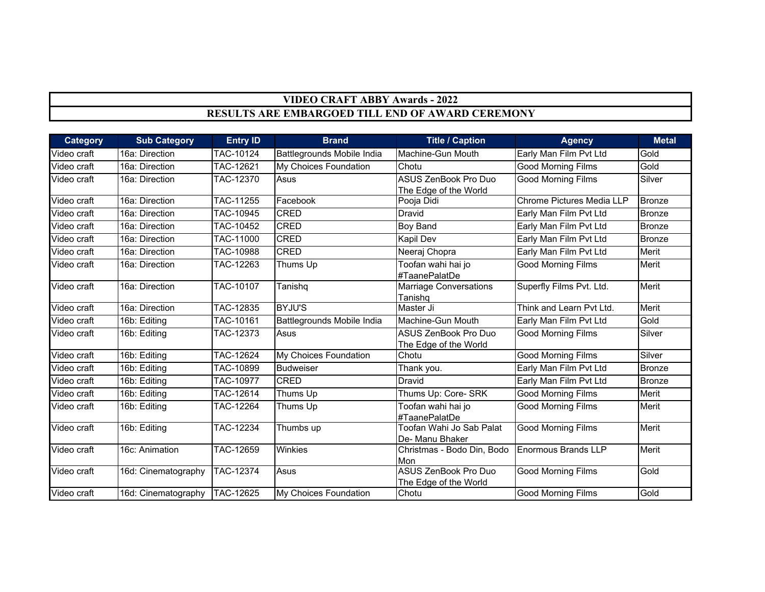## **VIDEO CRAFT ABBY Awards - 2022 RESULTS ARE EMBARGOED TILL END OF AWARD CEREMONY**

| <b>Category</b> | <b>Sub Category</b> | <b>Entry ID</b> | <b>Brand</b>               | <b>Title / Caption</b>                               | <b>Agency</b>                    | <b>Metal</b>  |
|-----------------|---------------------|-----------------|----------------------------|------------------------------------------------------|----------------------------------|---------------|
| Video craft     | 16a: Direction      | TAC-10124       | Battlegrounds Mobile India | Machine-Gun Mouth                                    | Early Man Film Pvt Ltd           | Gold          |
| Video craft     | 16a: Direction      | TAC-12621       | My Choices Foundation      | Chotu                                                | <b>Good Morning Films</b>        | Gold          |
| Video craft     | 16a: Direction      | TAC-12370       | Asus                       | <b>ASUS ZenBook Pro Duo</b><br>The Edge of the World | <b>Good Morning Films</b>        | Silver        |
| Video craft     | 16a: Direction      | TAC-11255       | Facebook                   | Pooja Didi                                           | <b>Chrome Pictures Media LLP</b> | <b>Bronze</b> |
| Video craft     | 16a: Direction      | TAC-10945       | <b>CRED</b>                | Dravid                                               | Early Man Film Pvt Ltd           | Bronze        |
| Video craft     | 16a: Direction      | TAC-10452       | <b>CRED</b>                | <b>Boy Band</b>                                      | Early Man Film Pvt Ltd           | Bronze        |
| Video craft     | 16a: Direction      | TAC-11000       | <b>CRED</b>                | Kapil Dev                                            | Early Man Film Pvt Ltd           | <b>Bronze</b> |
| Video craft     | 16a: Direction      | TAC-10988       | <b>CRED</b>                | Neeraj Chopra                                        | Early Man Film Pvt Ltd           | Merit         |
| Video craft     | 16a: Direction      | TAC-12263       | Thums Up                   | Toofan wahi hai jo<br>#TaanePalatDe                  | <b>Good Morning Films</b>        | Merit         |
| Video craft     | 16a: Direction      | TAC-10107       | Tanishq                    | <b>Marriage Conversations</b><br>Tanishq             | Superfly Films Pvt. Ltd.         | Merit         |
| Video craft     | 16a: Direction      | TAC-12835       | <b>BYJU'S</b>              | Master Ji                                            | Think and Learn Pvt Ltd.         | Merit         |
| Video craft     | 16b: Editing        | TAC-10161       | Battlegrounds Mobile India | Machine-Gun Mouth                                    | Early Man Film Pvt Ltd           | Gold          |
| Video craft     | 16b: Editing        | TAC-12373       | Asus                       | <b>ASUS ZenBook Pro Duo</b><br>The Edge of the World | <b>Good Morning Films</b>        | Silver        |
| Video craft     | 16b: Editing        | TAC-12624       | My Choices Foundation      | Chotu                                                | <b>Good Morning Films</b>        | Silver        |
| Video craft     | 16b: Editing        | TAC-10899       | <b>Budweiser</b>           | Thank you.                                           | Early Man Film Pvt Ltd           | Bronze        |
| Video craft     | 16b: Editing        | TAC-10977       | <b>CRED</b>                | Dravid                                               | Early Man Film Pvt Ltd           | Bronze        |
| Video craft     | 16b: Editing        | TAC-12614       | Thums Up                   | Thums Up: Core- SRK                                  | <b>Good Morning Films</b>        | Merit         |
| Video craft     | 16b: Editing        | TAC-12264       | Thums Up                   | Toofan wahi hai jo<br>#TaanePalatDe                  | <b>Good Morning Films</b>        | Merit         |
| Video craft     | 16b: Editing        | TAC-12234       | Thumbs up                  | Toofan Wahi Jo Sab Palat<br>De- Manu Bhaker          | <b>Good Morning Films</b>        | <b>Merit</b>  |
| Video craft     | 16c: Animation      | TAC-12659       | Winkies                    | Christmas - Bodo Din, Bodo<br>Mon                    | <b>Enormous Brands LLP</b>       | <b>Merit</b>  |
| Video craft     | 16d: Cinematography | TAC-12374       | Asus                       | ASUS ZenBook Pro Duo<br>The Edge of the World        | <b>Good Morning Films</b>        | Gold          |
| Video craft     | 16d: Cinematography | TAC-12625       | My Choices Foundation      | Chotu                                                | <b>Good Morning Films</b>        | Gold          |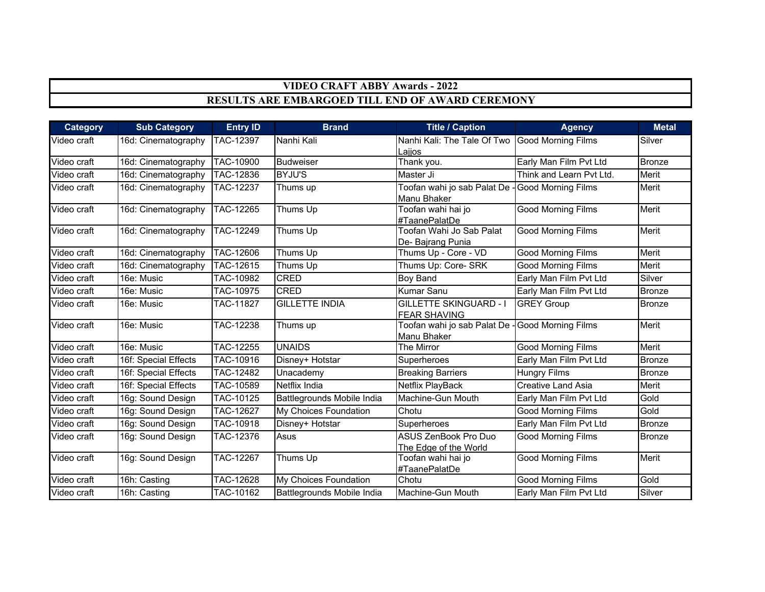## **VIDEO CRAFT ABBY Awards - 2022**

## **RESULTS ARE EMBARGOED TILL END OF AWARD CEREMONY**

| <b>Category</b> | <b>Sub Category</b>  | <b>Entry ID</b>  | <b>Brand</b>               | <b>Title / Caption</b>                               | <b>Agency</b>             | <b>Metal</b>  |
|-----------------|----------------------|------------------|----------------------------|------------------------------------------------------|---------------------------|---------------|
| Video craft     | 16d: Cinematography  | TAC-12397        | Nanhi Kali                 | Nanhi Kali: The Tale Of Two<br>Lajjos                | <b>Good Morning Films</b> | Silver        |
| Video craft     | 16d: Cinematography  | TAC-10900        | <b>Budweiser</b>           | Thank you.                                           | Early Man Film Pvt Ltd    | Bronze        |
| Video craft     | 16d: Cinematography  | TAC-12836        | <b>BYJU'S</b>              | Master Ji                                            | Think and Learn Pyt Ltd.  | Merit         |
| Video craft     | 16d: Cinematography  | TAC-12237        | Thums up                   | Toofan wahi jo sab Palat De -<br>Manu Bhaker         | <b>Good Morning Films</b> | Merit         |
| Video craft     | 16d: Cinematography  | TAC-12265        | Thums Up                   | Toofan wahi hai jo<br>#TaanePalatDe                  | <b>Good Morning Films</b> | Merit         |
| Video craft     | 16d: Cinematography  | TAC-12249        | Thums Up                   | Toofan Wahi Jo Sab Palat<br>De-Bajrang Punia         | <b>Good Morning Films</b> | Merit         |
| Video craft     | 16d: Cinematography  | TAC-12606        | Thums Up                   | Thums Up - Core - VD                                 | Good Morning Films        | Merit         |
| Video craft     | 16d: Cinematography  | TAC-12615        | Thums Up                   | Thums Up: Core- SRK                                  | Good Morning Films        | Merit         |
| Video craft     | 16e: Music           | TAC-10982        | <b>CRED</b>                | <b>Boy Band</b>                                      | Early Man Film Pvt Ltd    | Silver        |
| Video craft     | 16e: Music           | TAC-10975        | <b>CRED</b>                | <b>Kumar Sanu</b>                                    | Early Man Film Pvt Ltd    | <b>Bronze</b> |
| Video craft     | 16e: Music           | TAC-11827        | <b>GILLETTE INDIA</b>      | <b>GILLETTE SKINGUARD - I</b><br><b>FEAR SHAVING</b> | <b>GREY Group</b>         | <b>Bronze</b> |
| Video craft     | 16e: Music           | TAC-12238        | Thums up                   | Toofan wahi jo sab Palat De<br>Manu Bhaker           | <b>Good Morning Films</b> | Merit         |
| Video craft     | 16e: Music           | <b>TAC-12255</b> | <b>UNAIDS</b>              | The Mirror                                           | Good Morning Films        | Merit         |
| Video craft     | 16f: Special Effects | TAC-10916        | Disney+ Hotstar            | Superheroes                                          | Early Man Film Pvt Ltd    | <b>Bronze</b> |
| Video craft     | 16f: Special Effects | TAC-12482        | Unacademy                  | <b>Breaking Barriers</b>                             | <b>Hungry Films</b>       | <b>Bronze</b> |
| Video craft     | 16f: Special Effects | TAC-10589        | Netflix India              | Netflix PlayBack                                     | <b>Creative Land Asia</b> | Merit         |
| Video craft     | 16g: Sound Design    | <b>TAC-10125</b> | Battlegrounds Mobile India | Machine-Gun Mouth                                    | Early Man Film Pvt Ltd    | Gold          |
| Video craft     | 16g: Sound Design    | TAC-12627        | My Choices Foundation      | Chotu                                                | <b>Good Morning Films</b> | Gold          |
| Video craft     | 16g: Sound Design    | TAC-10918        | Disney+ Hotstar            | Superheroes                                          | Early Man Film Pvt Ltd    | Bronze        |
| Video craft     | 16g: Sound Design    | TAC-12376        | Asus                       | <b>ASUS ZenBook Pro Duo</b><br>The Edge of the World | <b>Good Morning Films</b> | Bronze        |
| Video craft     | 16g: Sound Design    | TAC-12267        | Thums Up                   | Toofan wahi hai jo<br>#TaanePalatDe                  | <b>Good Morning Films</b> | Merit         |
| Video craft     | 16h: Casting         | TAC-12628        | My Choices Foundation      | Chotu                                                | Good Morning Films        | Gold          |
| Video craft     | 16h: Casting         | TAC-10162        | Battlegrounds Mobile India | Machine-Gun Mouth                                    | Early Man Film Pvt Ltd    | Silver        |